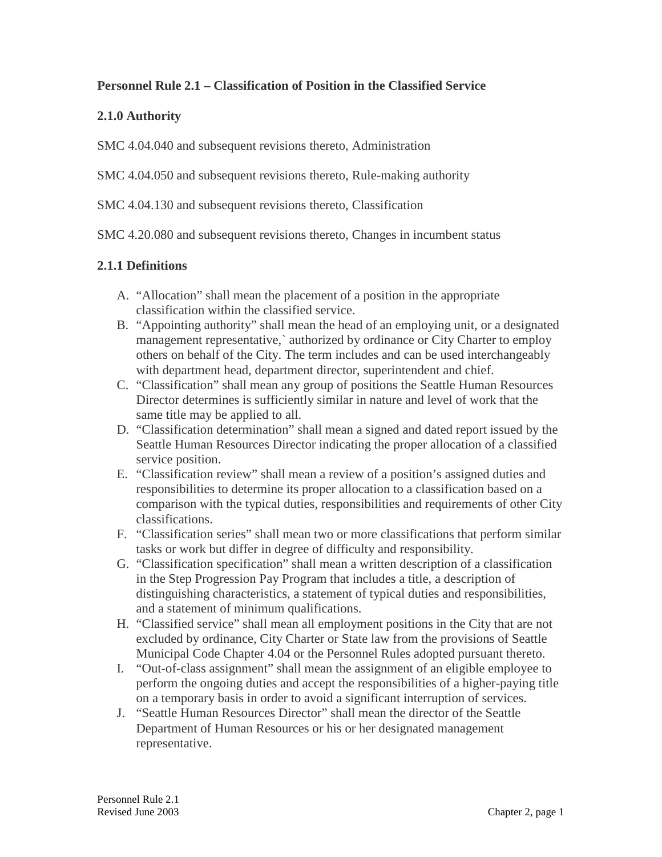### **Personnel Rule 2.1 – Classification of Position in the Classified Service**

### **2.1.0 Authority**

SMC 4.04.040 and subsequent revisions thereto, Administration

SMC 4.04.050 and subsequent revisions thereto, Rule-making authority

SMC 4.04.130 and subsequent revisions thereto, Classification

SMC 4.20.080 and subsequent revisions thereto, Changes in incumbent status

### **2.1.1 Definitions**

- A. "Allocation" shall mean the placement of a position in the appropriate classification within the classified service.
- B. "Appointing authority" shall mean the head of an employing unit, or a designated management representative,` authorized by ordinance or City Charter to employ others on behalf of the City. The term includes and can be used interchangeably with department head, department director, superintendent and chief.
- C. "Classification" shall mean any group of positions the Seattle Human Resources Director determines is sufficiently similar in nature and level of work that the same title may be applied to all.
- D. "Classification determination" shall mean a signed and dated report issued by the Seattle Human Resources Director indicating the proper allocation of a classified service position.
- E. "Classification review" shall mean a review of a position's assigned duties and responsibilities to determine its proper allocation to a classification based on a comparison with the typical duties, responsibilities and requirements of other City classifications.
- F. "Classification series" shall mean two or more classifications that perform similar tasks or work but differ in degree of difficulty and responsibility.
- G. "Classification specification" shall mean a written description of a classification in the Step Progression Pay Program that includes a title, a description of distinguishing characteristics, a statement of typical duties and responsibilities, and a statement of minimum qualifications.
- H. "Classified service" shall mean all employment positions in the City that are not excluded by ordinance, City Charter or State law from the provisions of Seattle Municipal Code Chapter 4.04 or the Personnel Rules adopted pursuant thereto.
- I. "Out-of-class assignment" shall mean the assignment of an eligible employee to perform the ongoing duties and accept the responsibilities of a higher-paying title on a temporary basis in order to avoid a significant interruption of services.
- J. "Seattle Human Resources Director" shall mean the director of the Seattle Department of Human Resources or his or her designated management representative.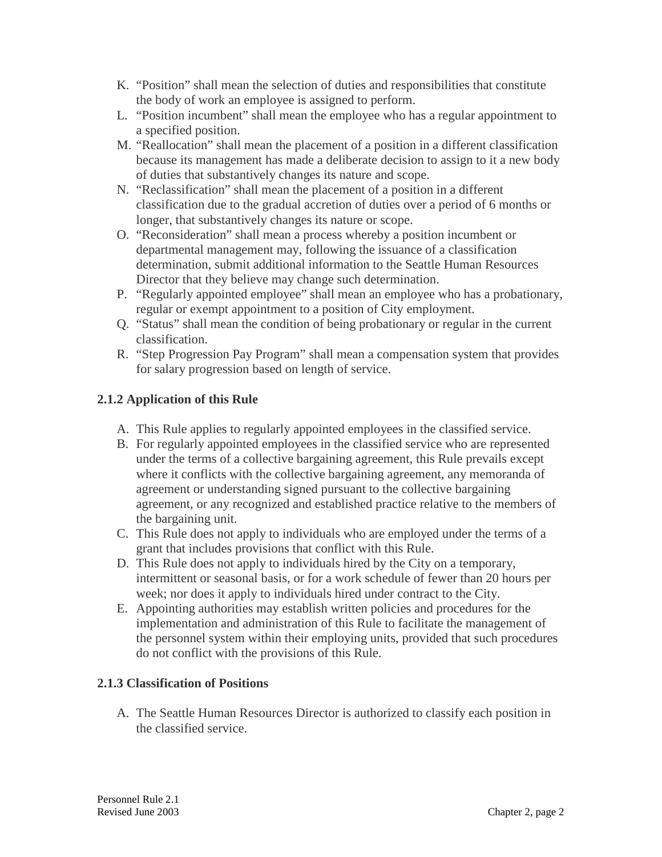- K. "Position" shall mean the selection of duties and responsibilities that constitute the body of work an employee is assigned to perform.
- L. "Position incumbent" shall mean the employee who has a regular appointment to a specified position.
- M. "Reallocation" shall mean the placement of a position in a different classification because its management has made a deliberate decision to assign to it a new body of duties that substantively changes its nature and scope.
- N. "Reclassification" shall mean the placement of a position in a different classification due to the gradual accretion of duties over a period of 6 months or longer, that substantively changes its nature or scope.
- O. "Reconsideration" shall mean a process whereby a position incumbent or departmental management may, following the issuance of a classification determination, submit additional information to the Seattle Human Resources Director that they believe may change such determination.
- P. "Regularly appointed employee" shall mean an employee who has a probationary, regular or exempt appointment to a position of City employment.
- Q. "Status" shall mean the condition of being probationary or regular in the current classification.
- R. "Step Progression Pay Program" shall mean a compensation system that provides for salary progression based on length of service.

# **2.1.2 Application of this Rule**

- A. This Rule applies to regularly appointed employees in the classified service.
- B. For regularly appointed employees in the classified service who are represented under the terms of a collective bargaining agreement, this Rule prevails except where it conflicts with the collective bargaining agreement, any memoranda of agreement or understanding signed pursuant to the collective bargaining agreement, or any recognized and established practice relative to the members of the bargaining unit.
- C. This Rule does not apply to individuals who are employed under the terms of a grant that includes provisions that conflict with this Rule.
- D. This Rule does not apply to individuals hired by the City on a temporary, intermittent or seasonal basis, or for a work schedule of fewer than 20 hours per week; nor does it apply to individuals hired under contract to the City.
- E. Appointing authorities may establish written policies and procedures for the implementation and administration of this Rule to facilitate the management of the personnel system within their employing units, provided that such procedures do not conflict with the provisions of this Rule.

# **2.1.3 Classification of Positions**

A. The Seattle Human Resources Director is authorized to classify each position in the classified service.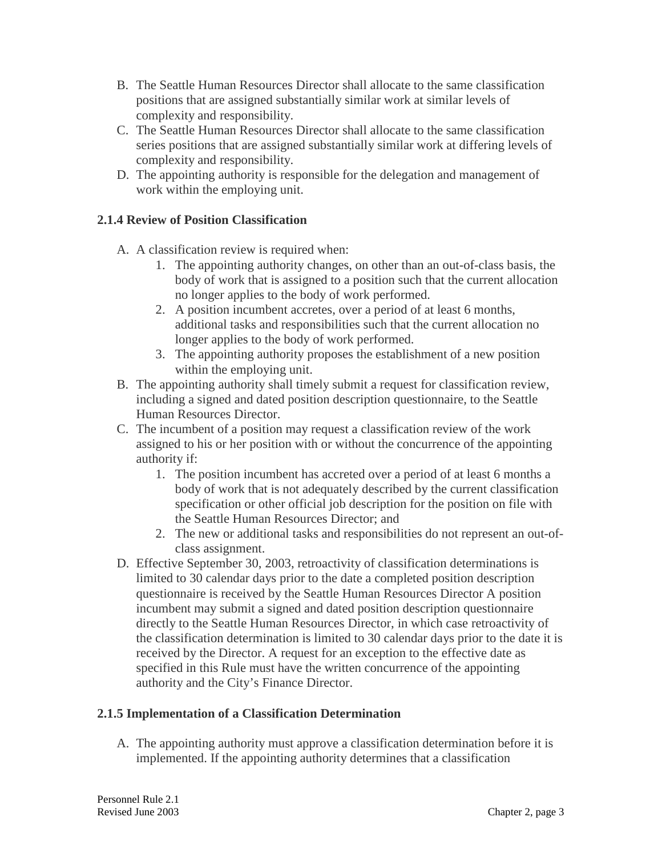- B. The Seattle Human Resources Director shall allocate to the same classification positions that are assigned substantially similar work at similar levels of complexity and responsibility.
- C. The Seattle Human Resources Director shall allocate to the same classification series positions that are assigned substantially similar work at differing levels of complexity and responsibility.
- D. The appointing authority is responsible for the delegation and management of work within the employing unit.

### **2.1.4 Review of Position Classification**

- A. A classification review is required when:
	- 1. The appointing authority changes, on other than an out-of-class basis, the body of work that is assigned to a position such that the current allocation no longer applies to the body of work performed.
	- 2. A position incumbent accretes, over a period of at least 6 months, additional tasks and responsibilities such that the current allocation no longer applies to the body of work performed.
	- 3. The appointing authority proposes the establishment of a new position within the employing unit.
- B. The appointing authority shall timely submit a request for classification review, including a signed and dated position description questionnaire, to the Seattle Human Resources Director.
- C. The incumbent of a position may request a classification review of the work assigned to his or her position with or without the concurrence of the appointing authority if:
	- 1. The position incumbent has accreted over a period of at least 6 months a body of work that is not adequately described by the current classification specification or other official job description for the position on file with the Seattle Human Resources Director; and
	- 2. The new or additional tasks and responsibilities do not represent an out-ofclass assignment.
- D. Effective September 30, 2003, retroactivity of classification determinations is limited to 30 calendar days prior to the date a completed position description questionnaire is received by the Seattle Human Resources Director A position incumbent may submit a signed and dated position description questionnaire directly to the Seattle Human Resources Director, in which case retroactivity of the classification determination is limited to 30 calendar days prior to the date it is received by the Director. A request for an exception to the effective date as specified in this Rule must have the written concurrence of the appointing authority and the City's Finance Director.

# **2.1.5 Implementation of a Classification Determination**

A. The appointing authority must approve a classification determination before it is implemented. If the appointing authority determines that a classification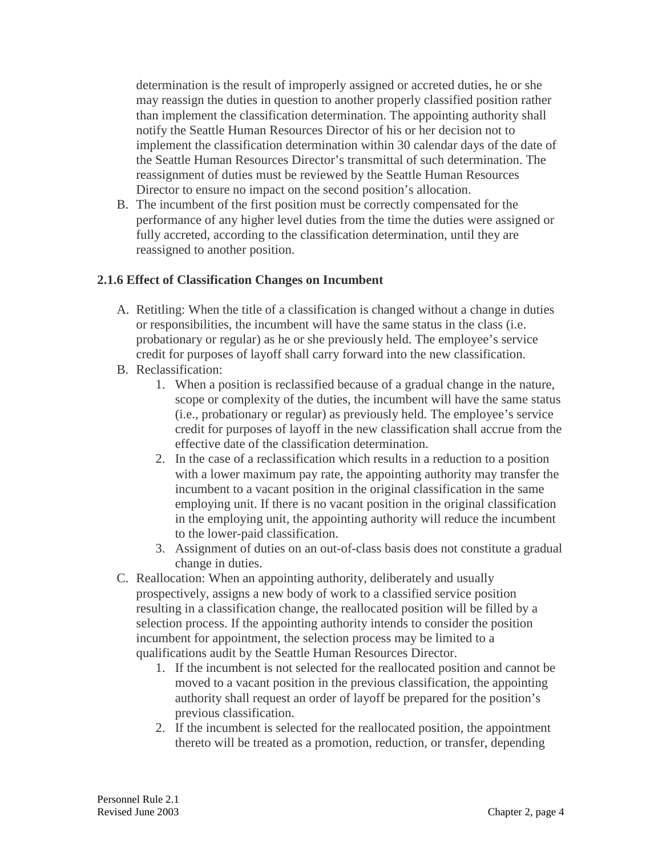determination is the result of improperly assigned or accreted duties, he or she may reassign the duties in question to another properly classified position rather than implement the classification determination. The appointing authority shall notify the Seattle Human Resources Director of his or her decision not to implement the classification determination within 30 calendar days of the date of the Seattle Human Resources Director's transmittal of such determination. The reassignment of duties must be reviewed by the Seattle Human Resources Director to ensure no impact on the second position's allocation.

B. The incumbent of the first position must be correctly compensated for the performance of any higher level duties from the time the duties were assigned or fully accreted, according to the classification determination, until they are reassigned to another position.

### **2.1.6 Effect of Classification Changes on Incumbent**

- A. Retitling: When the title of a classification is changed without a change in duties or responsibilities, the incumbent will have the same status in the class (i.e. probationary or regular) as he or she previously held. The employee's service credit for purposes of layoff shall carry forward into the new classification.
- B. Reclassification:
	- 1. When a position is reclassified because of a gradual change in the nature, scope or complexity of the duties, the incumbent will have the same status (i.e., probationary or regular) as previously held. The employee's service credit for purposes of layoff in the new classification shall accrue from the effective date of the classification determination.
	- 2. In the case of a reclassification which results in a reduction to a position with a lower maximum pay rate, the appointing authority may transfer the incumbent to a vacant position in the original classification in the same employing unit. If there is no vacant position in the original classification in the employing unit, the appointing authority will reduce the incumbent to the lower-paid classification.
	- 3. Assignment of duties on an out-of-class basis does not constitute a gradual change in duties.
- C. Reallocation: When an appointing authority, deliberately and usually prospectively, assigns a new body of work to a classified service position resulting in a classification change, the reallocated position will be filled by a selection process. If the appointing authority intends to consider the position incumbent for appointment, the selection process may be limited to a qualifications audit by the Seattle Human Resources Director.
	- 1. If the incumbent is not selected for the reallocated position and cannot be moved to a vacant position in the previous classification, the appointing authority shall request an order of layoff be prepared for the position's previous classification.
	- 2. If the incumbent is selected for the reallocated position, the appointment thereto will be treated as a promotion, reduction, or transfer, depending